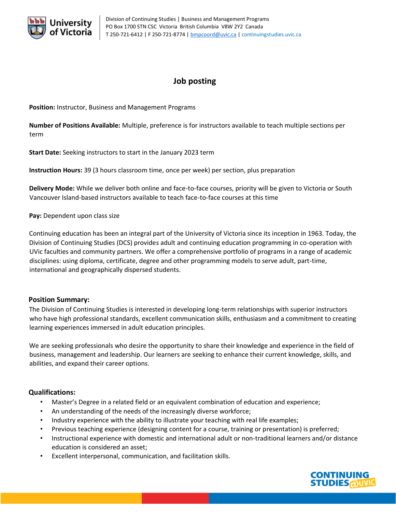

# **Job posting**

**Position:** Instructor, Business and Management Programs

**Number of Positions Available:** Multiple, preference is for instructors available to teach multiple sections per term

**Start Date:** Seeking instructors to start in the January 2023 term

**Instruction Hours:** 39 (3 hours classroom time, once per week) per section, plus preparation

**Delivery Mode:** While we deliver both online and face-to-face courses, priority will be given to Victoria or South Vancouver Island-based instructors available to teach face-to-face courses at this time

**Pay:** Dependent upon class size

Continuing education has been an integral part of the University of Victoria since its inception in 1963. Today, the Division of Continuing Studies (DCS) provides adult and continuing education programming in co-operation with UVic faculties and community partners. We offer a comprehensive portfolio of programs in a range of academic disciplines: using diploma, certificate, degree and other programming models to serve adult, part-time, international and geographically dispersed students.

## **Position Summary:**

The Division of Continuing Studies is interested in developing long-term relationships with superior instructors who have high professional standards, excellent communication skills, enthusiasm and a commitment to creating learning experiences immersed in adult education principles.

We are seeking professionals who desire the opportunity to share their knowledge and experience in the field of business, management and leadership. Our learners are seeking to enhance their current knowledge, skills, and abilities, and expand their career options.

## **Qualifications:**

- Master's Degree in a related field or an equivalent combination of education and experience;
- An understanding of the needs of the increasingly diverse workforce;
- Industry experience with the ability to illustrate your teaching with real life examples;
- Previous teaching experience (designing content for a course, training or presentation) is preferred;
- Instructional experience with domestic and international adult or non-traditional learners and/or distance education is considered an asset;
- Excellent interpersonal, communication, and facilitation skills.